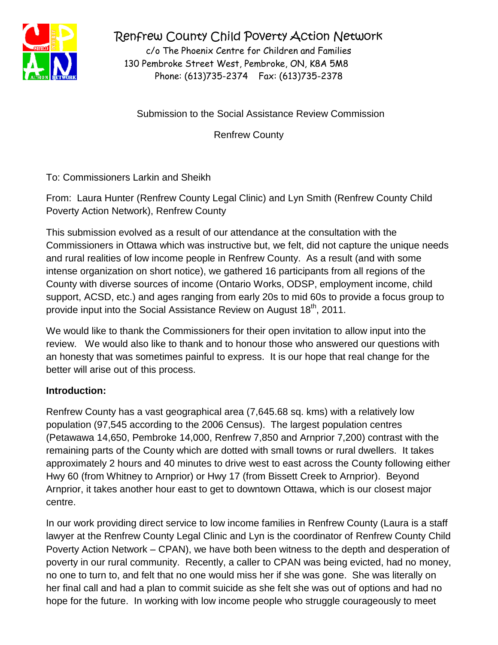

Renfrew County Child Poverty Action Network

c/o The Phoenix Centre for Children and Families 130 Pembroke Street West, Pembroke, ON, K8A 5M8 Phone: (613)735-2374 Fax: (613)735-2378

Submission to the Social Assistance Review Commission

Renfrew County

To: Commissioners Larkin and Sheikh

From: Laura Hunter (Renfrew County Legal Clinic) and Lyn Smith (Renfrew County Child Poverty Action Network), Renfrew County

This submission evolved as a result of our attendance at the consultation with the Commissioners in Ottawa which was instructive but, we felt, did not capture the unique needs and rural realities of low income people in Renfrew County. As a result (and with some intense organization on short notice), we gathered 16 participants from all regions of the County with diverse sources of income (Ontario Works, ODSP, employment income, child support, ACSD, etc.) and ages ranging from early 20s to mid 60s to provide a focus group to provide input into the Social Assistance Review on August 18<sup>th</sup>, 2011.

We would like to thank the Commissioners for their open invitation to allow input into the review. We would also like to thank and to honour those who answered our questions with an honesty that was sometimes painful to express. It is our hope that real change for the better will arise out of this process.

# **Introduction:**

Renfrew County has a vast geographical area (7,645.68 sq. kms) with a relatively low population (97,545 according to the 2006 Census). The largest population centres (Petawawa 14,650, Pembroke 14,000, Renfrew 7,850 and Arnprior 7,200) contrast with the remaining parts of the County which are dotted with small towns or rural dwellers. It takes approximately 2 hours and 40 minutes to drive west to east across the County following either Hwy 60 (from Whitney to Arnprior) or Hwy 17 (from Bissett Creek to Arnprior). Beyond Arnprior, it takes another hour east to get to downtown Ottawa, which is our closest major centre.

In our work providing direct service to low income families in Renfrew County (Laura is a staff lawyer at the Renfrew County Legal Clinic and Lyn is the coordinator of Renfrew County Child Poverty Action Network – CPAN), we have both been witness to the depth and desperation of poverty in our rural community. Recently, a caller to CPAN was being evicted, had no money, no one to turn to, and felt that no one would miss her if she was gone. She was literally on her final call and had a plan to commit suicide as she felt she was out of options and had no hope for the future. In working with low income people who struggle courageously to meet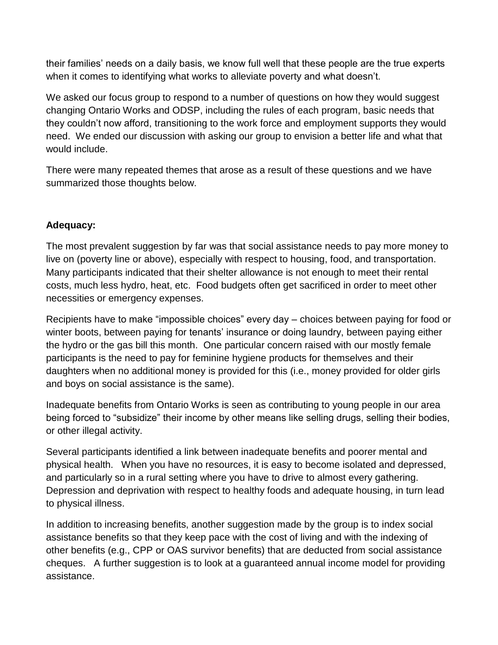their families' needs on a daily basis, we know full well that these people are the true experts when it comes to identifying what works to alleviate poverty and what doesn't.

We asked our focus group to respond to a number of questions on how they would suggest changing Ontario Works and ODSP, including the rules of each program, basic needs that they couldn't now afford, transitioning to the work force and employment supports they would need. We ended our discussion with asking our group to envision a better life and what that would include.

There were many repeated themes that arose as a result of these questions and we have summarized those thoughts below.

### **Adequacy:**

The most prevalent suggestion by far was that social assistance needs to pay more money to live on (poverty line or above), especially with respect to housing, food, and transportation. Many participants indicated that their shelter allowance is not enough to meet their rental costs, much less hydro, heat, etc. Food budgets often get sacrificed in order to meet other necessities or emergency expenses.

Recipients have to make "impossible choices" every day – choices between paying for food or winter boots, between paying for tenants' insurance or doing laundry, between paying either the hydro or the gas bill this month. One particular concern raised with our mostly female participants is the need to pay for feminine hygiene products for themselves and their daughters when no additional money is provided for this (i.e., money provided for older girls and boys on social assistance is the same).

Inadequate benefits from Ontario Works is seen as contributing to young people in our area being forced to "subsidize" their income by other means like selling drugs, selling their bodies, or other illegal activity.

Several participants identified a link between inadequate benefits and poorer mental and physical health. When you have no resources, it is easy to become isolated and depressed, and particularly so in a rural setting where you have to drive to almost every gathering. Depression and deprivation with respect to healthy foods and adequate housing, in turn lead to physical illness.

In addition to increasing benefits, another suggestion made by the group is to index social assistance benefits so that they keep pace with the cost of living and with the indexing of other benefits (e.g., CPP or OAS survivor benefits) that are deducted from social assistance cheques. A further suggestion is to look at a guaranteed annual income model for providing assistance.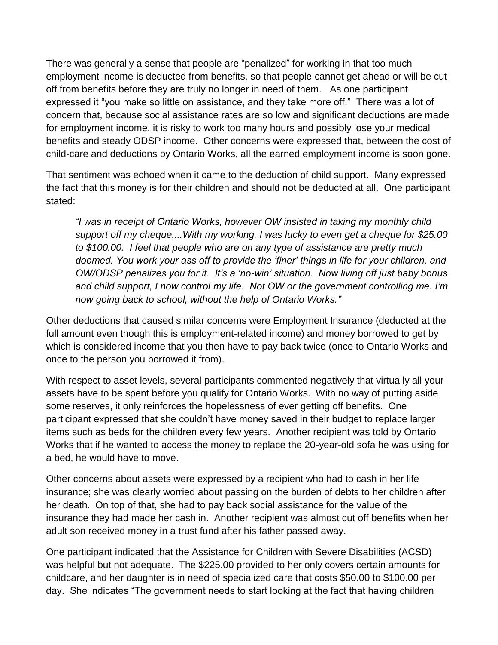There was generally a sense that people are "penalized" for working in that too much employment income is deducted from benefits, so that people cannot get ahead or will be cut off from benefits before they are truly no longer in need of them. As one participant expressed it "you make so little on assistance, and they take more off." There was a lot of concern that, because social assistance rates are so low and significant deductions are made for employment income, it is risky to work too many hours and possibly lose your medical benefits and steady ODSP income. Other concerns were expressed that, between the cost of child-care and deductions by Ontario Works, all the earned employment income is soon gone.

That sentiment was echoed when it came to the deduction of child support. Many expressed the fact that this money is for their children and should not be deducted at all. One participant stated:

*"I was in receipt of Ontario Works, however OW insisted in taking my monthly child support off my cheque....With my working, I was lucky to even get a cheque for \$25.00 to \$100.00. I feel that people who are on any type of assistance are pretty much doomed. You work your ass off to provide the 'finer' things in life for your children, and OW/ODSP penalizes you for it. It's a 'no-win' situation. Now living off just baby bonus and child support, I now control my life. Not OW or the government controlling me. I'm now going back to school, without the help of Ontario Works."*

Other deductions that caused similar concerns were Employment Insurance (deducted at the full amount even though this is employment-related income) and money borrowed to get by which is considered income that you then have to pay back twice (once to Ontario Works and once to the person you borrowed it from).

With respect to asset levels, several participants commented negatively that virtually all your assets have to be spent before you qualify for Ontario Works. With no way of putting aside some reserves, it only reinforces the hopelessness of ever getting off benefits. One participant expressed that she couldn't have money saved in their budget to replace larger items such as beds for the children every few years. Another recipient was told by Ontario Works that if he wanted to access the money to replace the 20-year-old sofa he was using for a bed, he would have to move.

Other concerns about assets were expressed by a recipient who had to cash in her life insurance; she was clearly worried about passing on the burden of debts to her children after her death. On top of that, she had to pay back social assistance for the value of the insurance they had made her cash in. Another recipient was almost cut off benefits when her adult son received money in a trust fund after his father passed away.

One participant indicated that the Assistance for Children with Severe Disabilities (ACSD) was helpful but not adequate. The \$225.00 provided to her only covers certain amounts for childcare, and her daughter is in need of specialized care that costs \$50.00 to \$100.00 per day. She indicates "The government needs to start looking at the fact that having children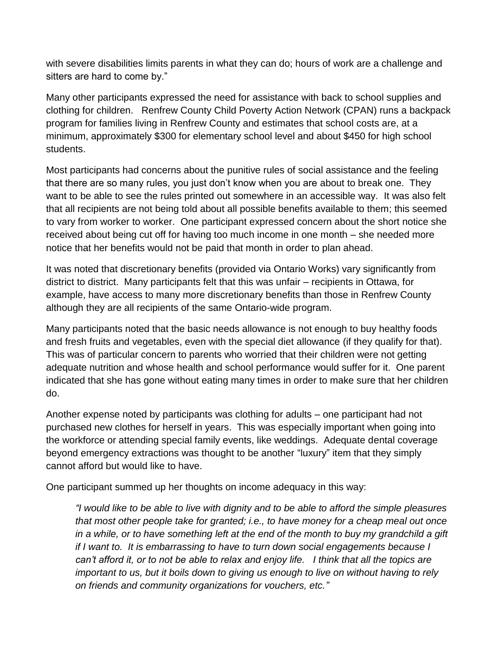with severe disabilities limits parents in what they can do; hours of work are a challenge and sitters are hard to come by."

Many other participants expressed the need for assistance with back to school supplies and clothing for children. Renfrew County Child Poverty Action Network (CPAN) runs a backpack program for families living in Renfrew County and estimates that school costs are, at a minimum, approximately \$300 for elementary school level and about \$450 for high school students.

Most participants had concerns about the punitive rules of social assistance and the feeling that there are so many rules, you just don't know when you are about to break one. They want to be able to see the rules printed out somewhere in an accessible way. It was also felt that all recipients are not being told about all possible benefits available to them; this seemed to vary from worker to worker. One participant expressed concern about the short notice she received about being cut off for having too much income in one month – she needed more notice that her benefits would not be paid that month in order to plan ahead.

It was noted that discretionary benefits (provided via Ontario Works) vary significantly from district to district. Many participants felt that this was unfair – recipients in Ottawa, for example, have access to many more discretionary benefits than those in Renfrew County although they are all recipients of the same Ontario-wide program.

Many participants noted that the basic needs allowance is not enough to buy healthy foods and fresh fruits and vegetables, even with the special diet allowance (if they qualify for that). This was of particular concern to parents who worried that their children were not getting adequate nutrition and whose health and school performance would suffer for it. One parent indicated that she has gone without eating many times in order to make sure that her children do.

Another expense noted by participants was clothing for adults – one participant had not purchased new clothes for herself in years. This was especially important when going into the workforce or attending special family events, like weddings. Adequate dental coverage beyond emergency extractions was thought to be another "luxury" item that they simply cannot afford but would like to have.

One participant summed up her thoughts on income adequacy in this way:

*"I would like to be able to live with dignity and to be able to afford the simple pleasures that most other people take for granted; i.e., to have money for a cheap meal out once in a while, or to have something left at the end of the month to buy my grandchild a gift if I want to. It is embarrassing to have to turn down social engagements because I can't afford it, or to not be able to relax and enjoy life. I think that all the topics are important to us, but it boils down to giving us enough to live on without having to rely on friends and community organizations for vouchers, etc."*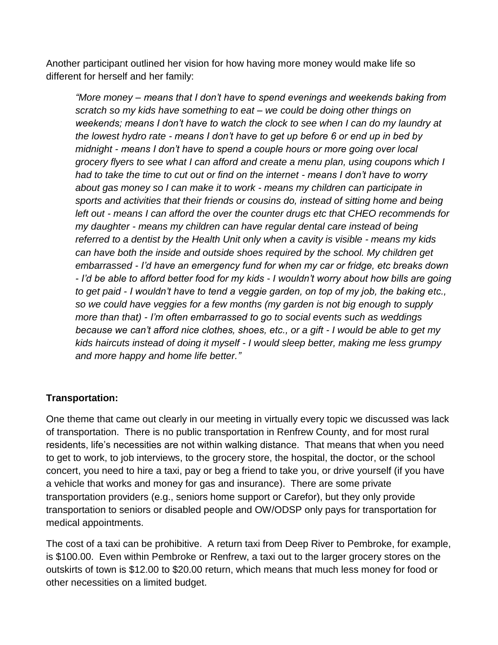Another participant outlined her vision for how having more money would make life so different for herself and her family:

*"More money – means that I don't have to spend evenings and weekends baking from scratch so my kids have something to eat – we could be doing other things on weekends; means I don't have to watch the clock to see when I can do my laundry at the lowest hydro rate - means I don't have to get up before 6 or end up in bed by midnight - means I don't have to spend a couple hours or more going over local grocery flyers to see what I can afford and create a menu plan, using coupons which I had to take the time to cut out or find on the internet - means I don't have to worry about gas money so I can make it to work - means my children can participate in sports and activities that their friends or cousins do, instead of sitting home and being left out - means I can afford the over the counter drugs etc that CHEO recommends for my daughter - means my children can have regular dental care instead of being referred to a dentist by the Health Unit only when a cavity is visible - means my kids can have both the inside and outside shoes required by the school. My children get embarrassed - I'd have an emergency fund for when my car or fridge, etc breaks down - I'd be able to afford better food for my kids - I wouldn't worry about how bills are going to get paid - I wouldn't have to tend a veggie garden, on top of my job, the baking etc., so we could have veggies for a few months (my garden is not big enough to supply more than that) - I'm often embarrassed to go to social events such as weddings because we can't afford nice clothes, shoes, etc., or a gift - I would be able to get my kids haircuts instead of doing it myself - I would sleep better, making me less grumpy and more happy and home life better."*

### **Transportation:**

One theme that came out clearly in our meeting in virtually every topic we discussed was lack of transportation. There is no public transportation in Renfrew County, and for most rural residents, life's necessities are not within walking distance. That means that when you need to get to work, to job interviews, to the grocery store, the hospital, the doctor, or the school concert, you need to hire a taxi, pay or beg a friend to take you, or drive yourself (if you have a vehicle that works and money for gas and insurance). There are some private transportation providers (e.g., seniors home support or Carefor), but they only provide transportation to seniors or disabled people and OW/ODSP only pays for transportation for medical appointments.

The cost of a taxi can be prohibitive. A return taxi from Deep River to Pembroke, for example, is \$100.00. Even within Pembroke or Renfrew, a taxi out to the larger grocery stores on the outskirts of town is \$12.00 to \$20.00 return, which means that much less money for food or other necessities on a limited budget.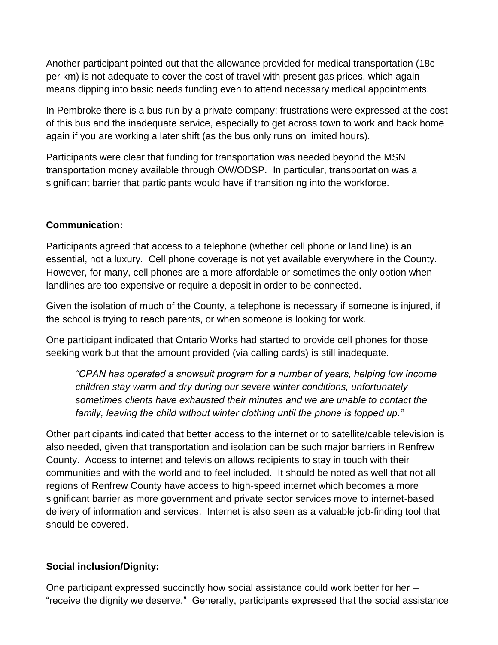Another participant pointed out that the allowance provided for medical transportation (18c per km) is not adequate to cover the cost of travel with present gas prices, which again means dipping into basic needs funding even to attend necessary medical appointments.

In Pembroke there is a bus run by a private company; frustrations were expressed at the cost of this bus and the inadequate service, especially to get across town to work and back home again if you are working a later shift (as the bus only runs on limited hours).

Participants were clear that funding for transportation was needed beyond the MSN transportation money available through OW/ODSP. In particular, transportation was a significant barrier that participants would have if transitioning into the workforce.

### **Communication:**

Participants agreed that access to a telephone (whether cell phone or land line) is an essential, not a luxury. Cell phone coverage is not yet available everywhere in the County. However, for many, cell phones are a more affordable or sometimes the only option when landlines are too expensive or require a deposit in order to be connected.

Given the isolation of much of the County, a telephone is necessary if someone is injured, if the school is trying to reach parents, or when someone is looking for work.

One participant indicated that Ontario Works had started to provide cell phones for those seeking work but that the amount provided (via calling cards) is still inadequate.

*"CPAN has operated a snowsuit program for a number of years, helping low income children stay warm and dry during our severe winter conditions, unfortunately sometimes clients have exhausted their minutes and we are unable to contact the family, leaving the child without winter clothing until the phone is topped up."*

Other participants indicated that better access to the internet or to satellite/cable television is also needed, given that transportation and isolation can be such major barriers in Renfrew County. Access to internet and television allows recipients to stay in touch with their communities and with the world and to feel included. It should be noted as well that not all regions of Renfrew County have access to high-speed internet which becomes a more significant barrier as more government and private sector services move to internet-based delivery of information and services. Internet is also seen as a valuable job-finding tool that should be covered.

### **Social inclusion/Dignity:**

One participant expressed succinctly how social assistance could work better for her -- "receive the dignity we deserve." Generally, participants expressed that the social assistance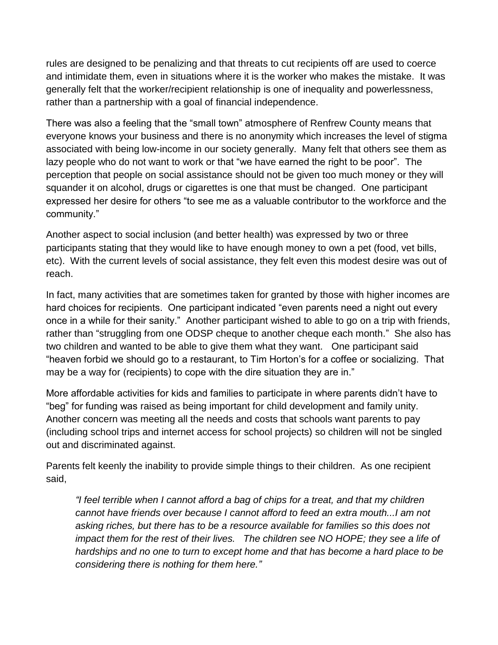rules are designed to be penalizing and that threats to cut recipients off are used to coerce and intimidate them, even in situations where it is the worker who makes the mistake. It was generally felt that the worker/recipient relationship is one of inequality and powerlessness, rather than a partnership with a goal of financial independence.

There was also a feeling that the "small town" atmosphere of Renfrew County means that everyone knows your business and there is no anonymity which increases the level of stigma associated with being low-income in our society generally. Many felt that others see them as lazy people who do not want to work or that "we have earned the right to be poor". The perception that people on social assistance should not be given too much money or they will squander it on alcohol, drugs or cigarettes is one that must be changed. One participant expressed her desire for others "to see me as a valuable contributor to the workforce and the community."

Another aspect to social inclusion (and better health) was expressed by two or three participants stating that they would like to have enough money to own a pet (food, vet bills, etc). With the current levels of social assistance, they felt even this modest desire was out of reach.

In fact, many activities that are sometimes taken for granted by those with higher incomes are hard choices for recipients. One participant indicated "even parents need a night out every once in a while for their sanity." Another participant wished to able to go on a trip with friends, rather than "struggling from one ODSP cheque to another cheque each month." She also has two children and wanted to be able to give them what they want. One participant said "heaven forbid we should go to a restaurant, to Tim Horton's for a coffee or socializing. That may be a way for (recipients) to cope with the dire situation they are in."

More affordable activities for kids and families to participate in where parents didn't have to "beg" for funding was raised as being important for child development and family unity. Another concern was meeting all the needs and costs that schools want parents to pay (including school trips and internet access for school projects) so children will not be singled out and discriminated against.

Parents felt keenly the inability to provide simple things to their children. As one recipient said,

*"I feel terrible when I cannot afford a bag of chips for a treat, and that my children cannot have friends over because I cannot afford to feed an extra mouth...I am not asking riches, but there has to be a resource available for families so this does not impact them for the rest of their lives.* The children see NO HOPE; they see a life of *hardships and no one to turn to except home and that has become a hard place to be considering there is nothing for them here."*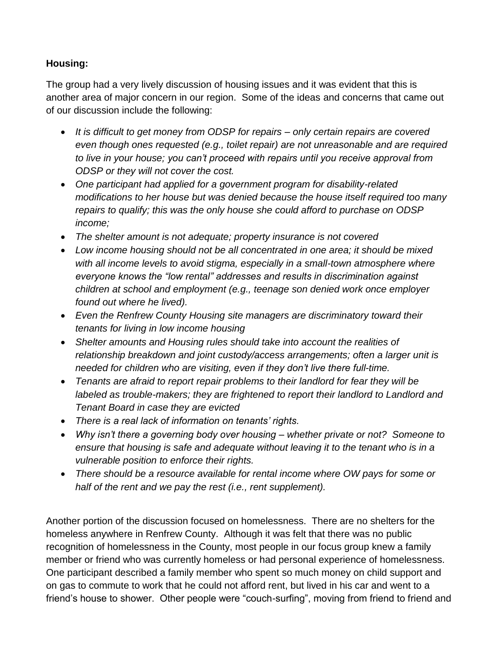# **Housing:**

The group had a very lively discussion of housing issues and it was evident that this is another area of major concern in our region. Some of the ideas and concerns that came out of our discussion include the following:

- *It is difficult to get money from ODSP for repairs – only certain repairs are covered even though ones requested (e.g., toilet repair) are not unreasonable and are required to live in your house; you can't proceed with repairs until you receive approval from ODSP or they will not cover the cost.*
- *One participant had applied for a government program for disability-related modifications to her house but was denied because the house itself required too many repairs to qualify; this was the only house she could afford to purchase on ODSP income;*
- *The shelter amount is not adequate; property insurance is not covered*
- *Low income housing should not be all concentrated in one area; it should be mixed with all income levels to avoid stigma, especially in a small-town atmosphere where everyone knows the "low rental" addresses and results in discrimination against children at school and employment (e.g., teenage son denied work once employer found out where he lived).*
- *Even the Renfrew County Housing site managers are discriminatory toward their tenants for living in low income housing*
- *Shelter amounts and Housing rules should take into account the realities of relationship breakdown and joint custody/access arrangements; often a larger unit is needed for children who are visiting, even if they don't live there full-time.*
- *Tenants are afraid to report repair problems to their landlord for fear they will be labeled as trouble-makers; they are frightened to report their landlord to Landlord and Tenant Board in case they are evicted*
- *There is a real lack of information on tenants' rights.*
- *Why isn't there a governing body over housing – whether private or not? Someone to ensure that housing is safe and adequate without leaving it to the tenant who is in a vulnerable position to enforce their rights.*
- *There should be a resource available for rental income where OW pays for some or half of the rent and we pay the rest (i.e., rent supplement).*

Another portion of the discussion focused on homelessness. There are no shelters for the homeless anywhere in Renfrew County. Although it was felt that there was no public recognition of homelessness in the County, most people in our focus group knew a family member or friend who was currently homeless or had personal experience of homelessness. One participant described a family member who spent so much money on child support and on gas to commute to work that he could not afford rent, but lived in his car and went to a friend's house to shower. Other people were "couch-surfing", moving from friend to friend and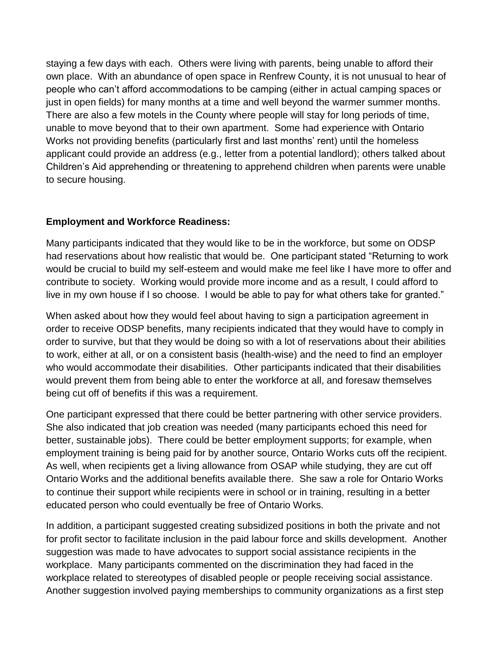staying a few days with each. Others were living with parents, being unable to afford their own place. With an abundance of open space in Renfrew County, it is not unusual to hear of people who can't afford accommodations to be camping (either in actual camping spaces or just in open fields) for many months at a time and well beyond the warmer summer months. There are also a few motels in the County where people will stay for long periods of time, unable to move beyond that to their own apartment. Some had experience with Ontario Works not providing benefits (particularly first and last months' rent) until the homeless applicant could provide an address (e.g., letter from a potential landlord); others talked about Children's Aid apprehending or threatening to apprehend children when parents were unable to secure housing.

### **Employment and Workforce Readiness:**

Many participants indicated that they would like to be in the workforce, but some on ODSP had reservations about how realistic that would be. One participant stated "Returning to work would be crucial to build my self-esteem and would make me feel like I have more to offer and contribute to society. Working would provide more income and as a result, I could afford to live in my own house if I so choose. I would be able to pay for what others take for granted."

When asked about how they would feel about having to sign a participation agreement in order to receive ODSP benefits, many recipients indicated that they would have to comply in order to survive, but that they would be doing so with a lot of reservations about their abilities to work, either at all, or on a consistent basis (health-wise) and the need to find an employer who would accommodate their disabilities. Other participants indicated that their disabilities would prevent them from being able to enter the workforce at all, and foresaw themselves being cut off of benefits if this was a requirement.

One participant expressed that there could be better partnering with other service providers. She also indicated that job creation was needed (many participants echoed this need for better, sustainable jobs). There could be better employment supports; for example, when employment training is being paid for by another source, Ontario Works cuts off the recipient. As well, when recipients get a living allowance from OSAP while studying, they are cut off Ontario Works and the additional benefits available there. She saw a role for Ontario Works to continue their support while recipients were in school or in training, resulting in a better educated person who could eventually be free of Ontario Works.

In addition, a participant suggested creating subsidized positions in both the private and not for profit sector to facilitate inclusion in the paid labour force and skills development. Another suggestion was made to have advocates to support social assistance recipients in the workplace. Many participants commented on the discrimination they had faced in the workplace related to stereotypes of disabled people or people receiving social assistance. Another suggestion involved paying memberships to community organizations as a first step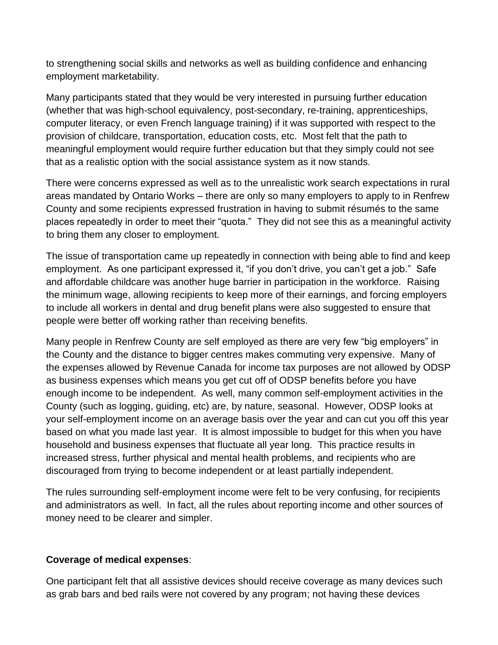to strengthening social skills and networks as well as building confidence and enhancing employment marketability.

Many participants stated that they would be very interested in pursuing further education (whether that was high-school equivalency, post-secondary, re-training, apprenticeships, computer literacy, or even French language training) if it was supported with respect to the provision of childcare, transportation, education costs, etc. Most felt that the path to meaningful employment would require further education but that they simply could not see that as a realistic option with the social assistance system as it now stands.

There were concerns expressed as well as to the unrealistic work search expectations in rural areas mandated by Ontario Works – there are only so many employers to apply to in Renfrew County and some recipients expressed frustration in having to submit résumés to the same places repeatedly in order to meet their "quota." They did not see this as a meaningful activity to bring them any closer to employment.

The issue of transportation came up repeatedly in connection with being able to find and keep employment. As one participant expressed it, "if you don't drive, you can't get a job." Safe and affordable childcare was another huge barrier in participation in the workforce. Raising the minimum wage, allowing recipients to keep more of their earnings, and forcing employers to include all workers in dental and drug benefit plans were also suggested to ensure that people were better off working rather than receiving benefits.

Many people in Renfrew County are self employed as there are very few "big employers" in the County and the distance to bigger centres makes commuting very expensive. Many of the expenses allowed by Revenue Canada for income tax purposes are not allowed by ODSP as business expenses which means you get cut off of ODSP benefits before you have enough income to be independent. As well, many common self-employment activities in the County (such as logging, guiding, etc) are, by nature, seasonal. However, ODSP looks at your self-employment income on an average basis over the year and can cut you off this year based on what you made last year. It is almost impossible to budget for this when you have household and business expenses that fluctuate all year long. This practice results in increased stress, further physical and mental health problems, and recipients who are discouraged from trying to become independent or at least partially independent.

The rules surrounding self-employment income were felt to be very confusing, for recipients and administrators as well. In fact, all the rules about reporting income and other sources of money need to be clearer and simpler.

#### **Coverage of medical expenses**:

One participant felt that all assistive devices should receive coverage as many devices such as grab bars and bed rails were not covered by any program; not having these devices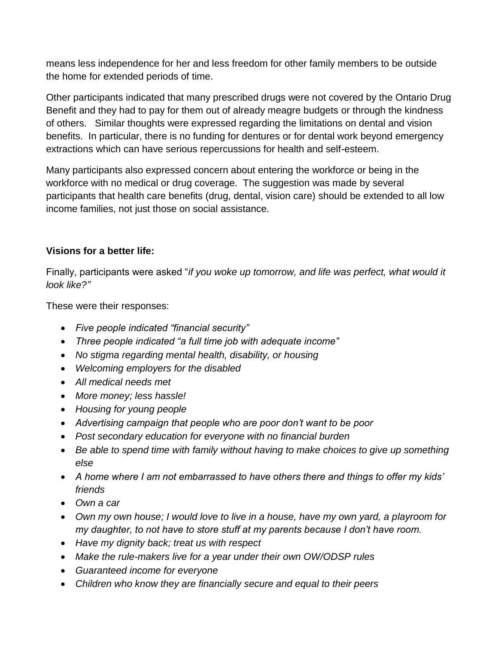means less independence for her and less freedom for other family members to be outside the home for extended periods of time.

Other participants indicated that many prescribed drugs were not covered by the Ontario Drug Benefit and they had to pay for them out of already meagre budgets or through the kindness of others. Similar thoughts were expressed regarding the limitations on dental and vision benefits. In particular, there is no funding for dentures or for dental work beyond emergency extractions which can have serious repercussions for health and self-esteem.

Many participants also expressed concern about entering the workforce or being in the workforce with no medical or drug coverage. The suggestion was made by several participants that health care benefits (drug, dental, vision care) should be extended to all low income families, not just those on social assistance.

### **Visions for a better life:**

Finally, participants were asked "*if you woke up tomorrow, and life was perfect, what would it look like?"*

These were their responses:

- *Five people indicated "financial security"*
- *Three people indicated "a full time job with adequate income"*
- *No stigma regarding mental health, disability, or housing*
- *Welcoming employers for the disabled*
- *All medical needs met*
- *More money; less hassle!*
- *Housing for young people*
- *Advertising campaign that people who are poor don't want to be poor*
- *Post secondary education for everyone with no financial burden*
- *Be able to spend time with family without having to make choices to give up something else*
- *A home where I am not embarrassed to have others there and things to offer my kids' friends*
- *Own a car*
- *Own my own house; I would love to live in a house, have my own yard, a playroom for my daughter, to not have to store stuff at my parents because I don't have room.*
- *Have my dignity back; treat us with respect*
- *Make the rule-makers live for a year under their own OW/ODSP rules*
- *Guaranteed income for everyone*
- *Children who know they are financially secure and equal to their peers*